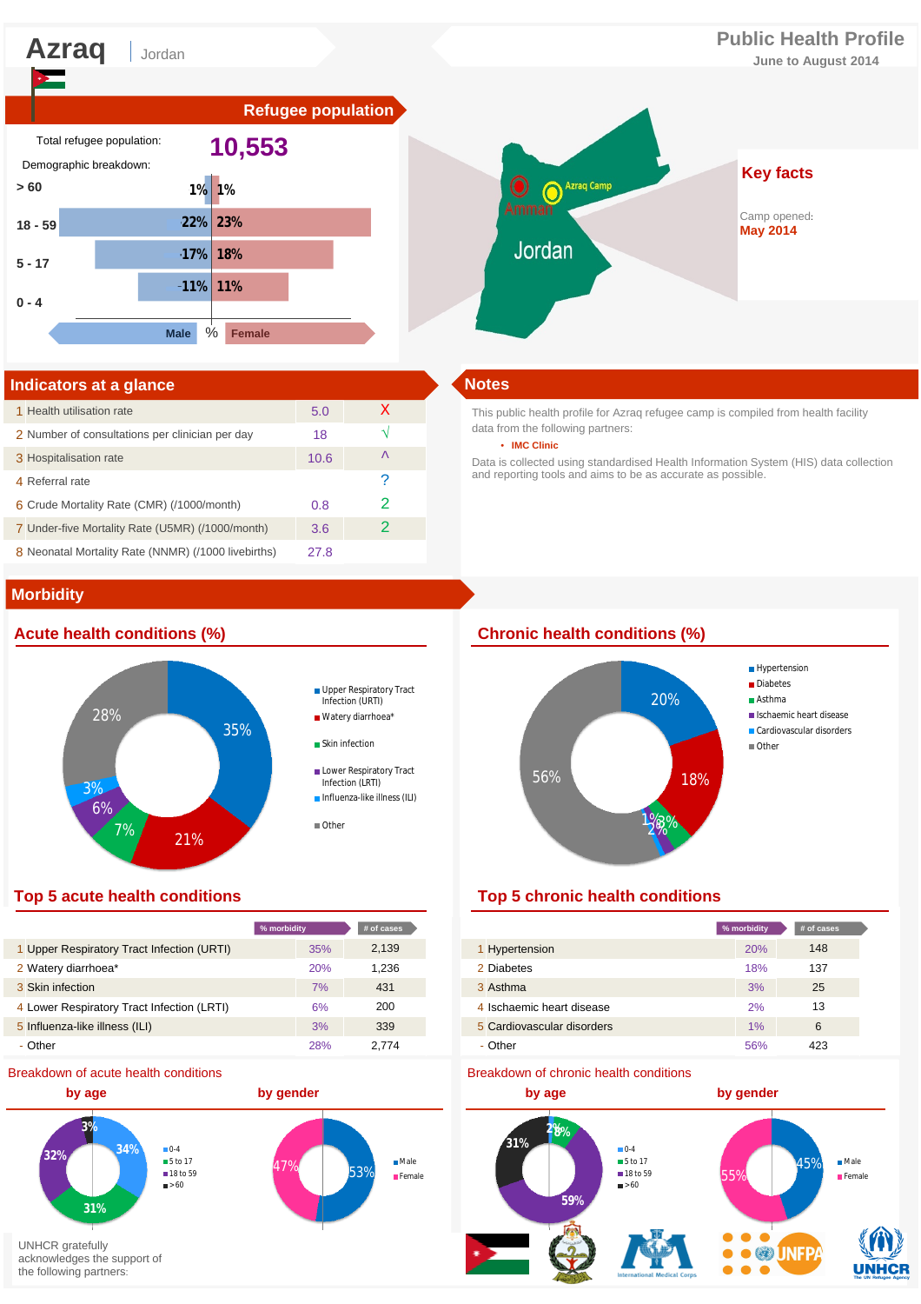Jordan

# **Azraq Public Health Profile**

**June to August 2014**





### **Indicators at a glance Notes**

| 1 Health utilisation rate                           | 5.0  | X |  |  |  |
|-----------------------------------------------------|------|---|--|--|--|
| 2 Number of consultations per clinician per day     | 18   |   |  |  |  |
| 3 Hospitalisation rate                              | 10.6 | ᄉ |  |  |  |
| 4 Referral rate                                     |      | P |  |  |  |
| 6 Crude Mortality Rate (CMR) (/1000/month)          | 0.8  |   |  |  |  |
| 7 Under-five Mortality Rate (U5MR) (/1000/month)    | 3.6  | 2 |  |  |  |
| 8 Neonatal Mortality Rate (NNMR) (/1000 livebirths) | 27.8 |   |  |  |  |

# **Morbidity**

# 35%  $7\%$  21% 6% २० 28% Upper Respiratory Tract Infection (URTI) Watery diarrhoea\* **Skin infection** Lower Respiratory Tract Infection (LRTI) **Influenza-like illness (ILI)** ■ Other

| % morbidity                                      | # of cases |
|--------------------------------------------------|------------|
| Upper Respiratory Tract Infection (URTI)<br>35%  | 2,139      |
| 2 Watery diarrhoea*<br>20%                       | 1.236      |
| 3 Skin infection<br>7%                           | 431        |
| 4 Lower Respiratory Tract Infection (LRTI)<br>6% | 200        |
| 5 Influenza-like illness (ILI)<br>3%             | 339        |
| - Other<br>28%                                   | 2.774      |

### Breakdown of acute health conditions



This public health profile for Azraq refugee camp is compiled from health facility data from the following partners:

#### • **IMC Clinic**

Data is collected using standardised Health Information System (HIS) data collection and reporting tools and aims to be as accurate as possible.

# **Acute health conditions (%) Chronic health conditions (%)**



# **Top 5 acute health conditions Top 5 chronic health conditions**

| % morbidity |     | # of cases |                            | % morbidity | # of cases |
|-------------|-----|------------|----------------------------|-------------|------------|
|             | 35% | 2,139      | 1 Hypertension             | <b>20%</b>  | 148        |
|             | 20% | 1,236      | 2 Diabetes                 | 18%         | 137        |
|             | 7%  | 431        | 3 Asthma                   | 3%          | 25         |
|             | 6%  | 200        | 4 Ischaemic heart disease  | 2%          | 13         |
|             | 3%  | 339        | 5 Cardiovascular disorders | 1%          | 6          |
|             | 28% | 2.774      | - Other                    | 56%         | 423        |

#### Breakdown of chronic health conditions